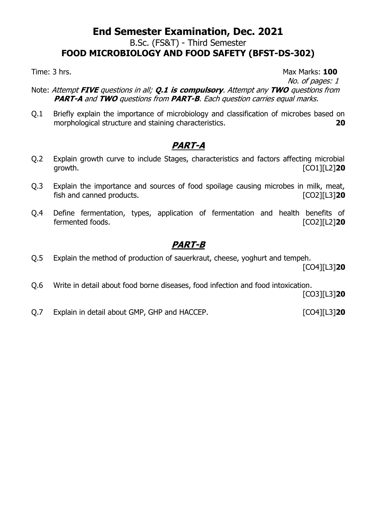### **End Semester Examination, Dec. 2021** B.Sc. (FS&T) - Third Semester **FOOD MICROBIOLOGY AND FOOD SAFETY (BFST-DS-302)**

Time: 3 hrs. **100** 

No. of pages: 1

- Note: Attempt **FIVE** questions in all; **Q.1 is compulsory**. Attempt any **TWO** questions from **PART-A** and **TWO** questions from **PART-B**. Each question carries equal marks.
- Q.1 Briefly explain the importance of microbiology and classification of microbes based on morphological structure and staining characteristics. **20**

### **PART-A**

- Q.2 Explain growth curve to include Stages, characteristics and factors affecting microbial growth. [CO1][L2]**20**
- Q.3 Explain the importance and sources of food spoilage causing microbes in milk, meat, fish and canned products. [CO2][L3]**20**
- Q.4 Define fermentation, types, application of fermentation and health benefits of fermented foods. [CO2][L2]**20**

### **PART-B**

Q.5 Explain the method of production of sauerkraut, cheese, yoghurt and tempeh.

[CO4][L3]**20**

Q.6 Write in detail about food borne diseases, food infection and food intoxication.

[CO3][L3]**20**

Q.7 Explain in detail about GMP, GHP and HACCEP. [CO4][L3]**20**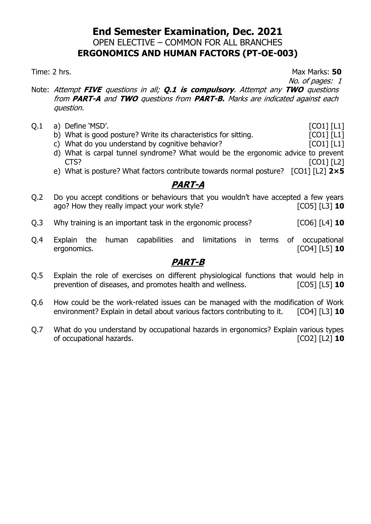#### **End Semester Examination, Dec. 2021** OPEN ELECTIVE – COMMON FOR ALL BRANCHES **ERGONOMICS AND HUMAN FACTORS (PT-OE-003)**

Time: 2 hrs. **50** 

No. of pages: 1

- Note: Attempt **FIVE** questions in all; **Q.1 is compulsory**. Attempt any **TWO** questions from **PART-A** and **TWO** questions from **PART-B.** Marks are indicated against each question.
- Q.1 a) Define 'MSD'. [CO1] [L1]
	- b) What is good posture? Write its characteristics for sitting. [CO1] [L1]
	- c) What do you understand by cognitive behavior?  $[CO1] [L1]$
	- d) What is carpal tunnel syndrome? What would be the ergonomic advice to prevent CTS? [CO1] [L2]
	- e) What is posture? What factors contribute towards normal posture? [CO1] [L2] **2×5**

#### **PART-A**

- Q.2 Do you accept conditions or behaviours that you wouldn't have accepted a few years ago? How they really impact your work style? **Example 2018** [CO5] [L3] **10**
- Q.3 Why training is an important task in the ergonomic process? [CO6] [L4] **10**
- Q.4 Explain the human capabilities and limitations in terms of occupational ergonomics. [CO4] [L5] **10**

- Q.5 Explain the role of exercises on different physiological functions that would help in prevention of diseases, and promotes health and wellness. [CO5] [L5] **10**
- Q.6 How could be the work-related issues can be managed with the modification of Work environment? Explain in detail about various factors contributing to it. [CO4] [L3] **10**
- Q.7 What do you understand by occupational hazards in ergonomics? Explain various types of occupational hazards. [CO2] [L2] **10**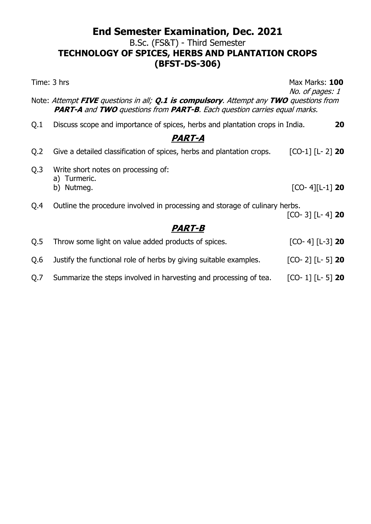### **End Semester Examination, Dec. 2021** B.Sc. (FS&T) - Third Semester **TECHNOLOGY OF SPICES, HERBS AND PLANTATION CROPS (BFST-DS-306)**

| Time: 3 hrs                                                                                                                                                                                             |                                                                              | Max Marks: 100<br>No. of pages: 1 |
|---------------------------------------------------------------------------------------------------------------------------------------------------------------------------------------------------------|------------------------------------------------------------------------------|-----------------------------------|
| Note: Attempt <b>FIVE</b> questions in all; <b>Q.1 is compulsory</b> . Attempt any TWO questions from<br><b>PART-A</b> and <b>TWO</b> questions from <b>PART-B</b> . Each question carries equal marks. |                                                                              |                                   |
| Q.1                                                                                                                                                                                                     | Discuss scope and importance of spices, herbs and plantation crops in India. | 20                                |
|                                                                                                                                                                                                         | <u>PART-A</u>                                                                |                                   |
| Q <sub>2</sub>                                                                                                                                                                                          | Give a detailed classification of spices, herbs and plantation crops.        | $[CO-1]$ $[L - 2]$ 20             |
| Q.3                                                                                                                                                                                                     | Write short notes on processing of:<br>a) Turmeric.                          |                                   |
|                                                                                                                                                                                                         | b) Nutmeg.                                                                   | $[CO-4][L-1]$ 20                  |
| Q.4                                                                                                                                                                                                     | Outline the procedure involved in processing and storage of culinary herbs.  |                                   |
|                                                                                                                                                                                                         |                                                                              | $[CO- 3]$ $[L- 4]$ 20             |
|                                                                                                                                                                                                         | <u>PART-B</u>                                                                |                                   |
| Q.5                                                                                                                                                                                                     | Throw some light on value added products of spices.                          | $[CO- 4] [L-3]$ 20                |
| Q.6                                                                                                                                                                                                     | Justify the functional role of herbs by giving suitable examples.            | $[CO- 2] [L- 5]$ 20               |
| Q.7                                                                                                                                                                                                     | Summarize the steps involved in harvesting and processing of tea.            | $[CO-1]$ $[L-5]$ 20               |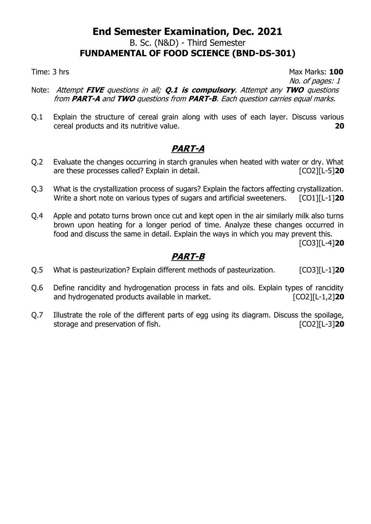### **End Semester Examination, Dec. 2021** B. Sc. (N&D) - Third Semester **FUNDAMENTAL OF FOOD SCIENCE (BND-DS-301)**

Time: 3 hrs Max Marks: 100

No. of pages: 1

- Note: Attempt **FIVE** questions in all; **Q.1 is compulsory**. Attempt any **TWO** questions from **PART-A** and **TWO** questions from **PART-B**. Each question carries equal marks.
- Q.1 Explain the structure of cereal grain along with uses of each layer. Discuss various cereal products and its nutritive value. **20**

### **PART-A**

- Q.2 Evaluate the changes occurring in starch granules when heated with water or dry. What are these processes called? Explain in detail. [CO2][L-5]**20**
- Q.3 What is the crystallization process of sugars? Explain the factors affecting crystallization. Write a short note on various types of sugars and artificial sweeteners. [CO1][L-1]20
- Q.4 Apple and potato turns brown once cut and kept open in the air similarly milk also turns brown upon heating for a longer period of time. Analyze these changes occurred in food and discuss the same in detail. Explain the ways in which you may prevent this.

[CO3][L-4]**20**

- Q.5 What is pasteurization? Explain different methods of pasteurization. [CO3][L-1]**20**
- Q.6 Define rancidity and hydrogenation process in fats and oils. Explain types of rancidity and hydrogenated products available in market. *CO2* [CO2][L-1,2]
- Q.7 Illustrate the role of the different parts of egg using its diagram. Discuss the spoilage, storage and preservation of fish.  $\blacksquare$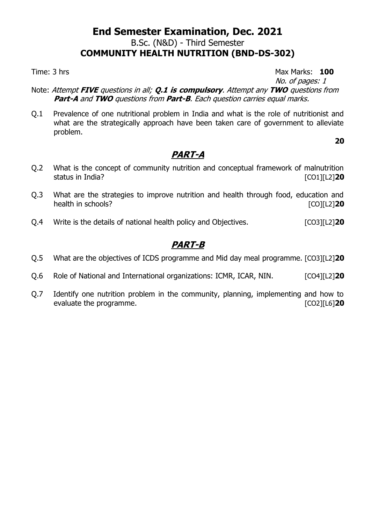### **End Semester Examination, Dec. 2021** B.Sc. (N&D) - Third Semester **COMMUNITY HEALTH NUTRITION (BND-DS-302)**

Time: 3 hrs **100** 

No. of pages: 1

**20**

- Note: Attempt **FIVE** questions in all; **Q.1 is compulsory**. Attempt any **TWO** questions from **Part-A** and **TWO** questions from **Part-B**. Each question carries equal marks.
- Q.1 Prevalence of one nutritional problem in India and what is the role of nutritionist and what are the strategically approach have been taken care of government to alleviate problem.

### **PART-A**

- Q.2 What is the concept of community nutrition and conceptual framework of malnutrition status in India? [CO1][L2]**20**
- Q.3 What are the strategies to improve nutrition and health through food, education and health in schools? **[CO][L2] 20**
- Q.4 Write is the details of national health policy and Objectives. [CO3][L2]**20**

- Q.5 What are the objectives of ICDS programme and Mid day meal programme. [CO3][L2]**20**
- Q.6 Role of National and International organizations: ICMR, ICAR, NIN. [CO4][L2]**20**
- Q.7 Identify one nutrition problem in the community, planning, implementing and how to evaluate the programme. [CO2][L6]**20**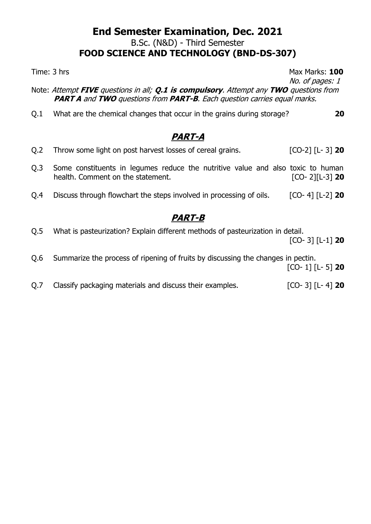#### **End Semester Examination, Dec. 2021** B.Sc. (N&D) - Third Semester **FOOD SCIENCE AND TECHNOLOGY (BND-DS-307)**

Note: Attempt **FIVE** questions in all; **Q.1 is compulsory**. Attempt any **TWO** questions from **PART A** and **TWO** questions from **PART-B**. Each question carries equal marks. Q.1 What are the chemical changes that occur in the grains during storage? **20 PART-A** Q.2 Throw some light on post harvest losses of cereal grains. [CO-2] [L- 3] **20**

Q.3 Some constituents in legumes reduce the nutritive value and also toxic to human health. Comment on the statement. [CO- 2][L-3] **20** Q.4 Discuss through flowchart the steps involved in processing of oils. [CO- 4] [L-2] **20**

### **PART-B**

Q.5 What is pasteurization? Explain different methods of pasteurization in detail.

[CO- 3] [L-1] **20**

Q.6 Summarize the process of ripening of fruits by discussing the changes in pectin.

[CO- 1] [L- 5] **20**

Q.7 Classify packaging materials and discuss their examples. [CO- 3] [L- 4] **20**

Time: 3 hrs Max Marks: 100

No. of pages: 1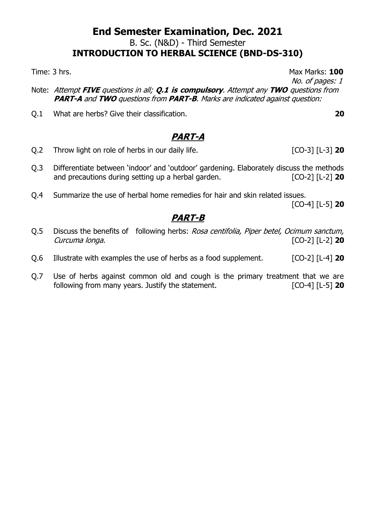#### **End Semester Examination, Dec. 2021** B. Sc. (N&D) - Third Semester **INTRODUCTION TO HERBAL SCIENCE (BND-DS-310)**

Time: 3 hrs. Max Marks: **100**

- Note: Attempt **FIVE** questions in all; **Q.1 is compulsory**. Attempt any **TWO** questions from **PART-A** and **TWO** questions from **PART-B**. Marks are indicated against question:
- Q.1 What are herbs? Give their classification. **20**

### **PART-A**

- Q.2 Throw light on role of herbs in our daily life. [CO-3] [L-3] **20**
- Q.3 Differentiate between 'indoor' and 'outdoor' gardening. Elaborately discuss the methods and precautions during setting up a herbal garden. [CO-2] [L-2] **20**
- Q.4 Summarize the use of herbal home remedies for hair and skin related issues. [CO-4] [L-5] **20**

### **PART-B**

- Q.5 Discuss the benefits of following herbs: Rosa centifolia, Piper betel, Ocimum sanctum, Curcuma longa. [CO-2] [L-2] **20**
- Q.6 Illustrate with examples the use of herbs as a food supplement. [CO-2] [L-4] **20**
- Q.7 Use of herbs against common old and cough is the primary treatment that we are following from many years. Justify the statement. [CO-4] [L-5] **20**

No. of pages: 1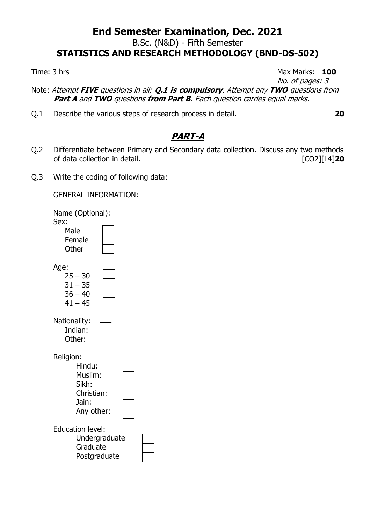### **End Semester Examination, Dec. 2021** B.Sc. (N&D) - Fifth Semester **STATISTICS AND RESEARCH METHODOLOGY (BND-DS-502)**

Time: 3 hrs **100** 

No. of pages: 3

Note: Attempt **FIVE** questions in all; **Q.1 is compulsory**. Attempt any **TWO** questions from **Part A** and **TWO** questions **from Part B**. Each question carries equal marks.

Q.1 Describe the various steps of research process in detail. **20**

# **PART-A**

- Q.2 Differentiate between Primary and Secondary data collection. Discuss any two methods of data collection in detail. [CO2][L4]**20**
- Q.3 Write the coding of following data:

GENERAL INFORMATION:

Name (Optional): Sex:

| Male   |  |
|--------|--|
| Female |  |
| Other  |  |

Age:

| $25 - 30$ |  |
|-----------|--|
| 31 – 35   |  |
| $36 - 40$ |  |
| $41 - 45$ |  |

| Nationality: |  |
|--------------|--|
| Indian:      |  |
| Other:       |  |
|              |  |

Religion:

| Hindu:     |  |
|------------|--|
| Muslim:    |  |
| Sikh:      |  |
| Christian: |  |
| Jain:      |  |
| Any other: |  |
|            |  |
|            |  |

Education level:

| Undergraduate |  |
|---------------|--|
| Graduate      |  |
| Postgraduate  |  |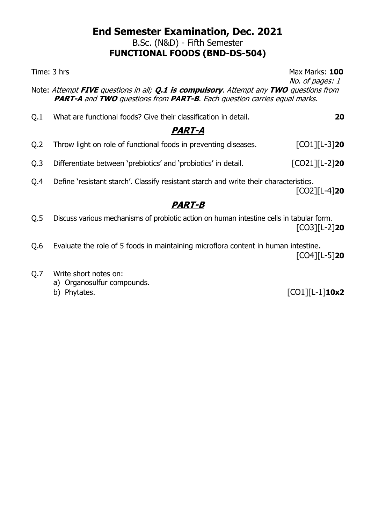B.Sc. (N&D) - Fifth Semester

### **FUNCTIONAL FOODS (BND-DS-504)**

Time: 3 hrs Max Marks: 100

No. of pages: 1

Note: Attempt **FIVE** questions in all; **Q.1 is compulsory**. Attempt any **TWO** questions from **PART-A** and **TWO** questions from **PART-B**. Each question carries equal marks.

Q.1 What are functional foods? Give their classification in detail. **20**

## **PART-A**

- Q.2 Throw light on role of functional foods in preventing diseases. [CO1][L-3]**20**
- Q.3 Differentiate between 'prebiotics' and 'probiotics' in detail. [CO21][L-2]**20**
- Q.4 Define 'resistant starch'. Classify resistant starch and write their characteristics.

[CO2][L-4]**20**

### **PART-B**

- Q.5 Discuss various mechanisms of probiotic action on human intestine cells in tabular form. [CO3][L-2]**20**
- Q.6 Evaluate the role of 5 foods in maintaining microflora content in human intestine. [CO4][L-5]**20**
- Q.7 Write short notes on:
	- a) Organosulfur compounds.
	-

b) Phytates. [CO1][L-1]**10x2**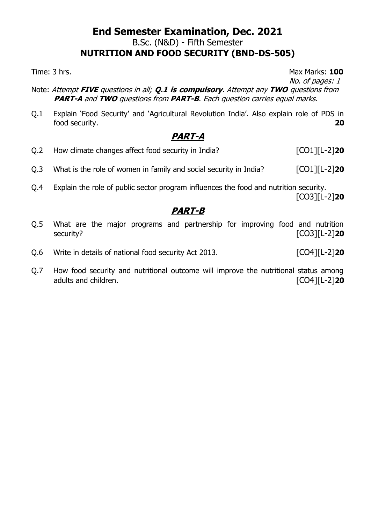#### **End Semester Examination, Dec. 2021** B.Sc. (N&D) - Fifth Semester **NUTRITION AND FOOD SECURITY (BND-DS-505)**

Time: 3 hrs. **100** 

No. of pages: 1

- Note: Attempt **FIVE** questions in all; **Q.1 is compulsory**. Attempt any **TWO** questions from **PART-A** and **TWO** questions from **PART-B**. Each question carries equal marks.
- Q.1 Explain 'Food Security' and 'Agricultural Revolution India'. Also explain role of PDS in food security. **20**

### **PART-A**

- Q.2 How climate changes affect food security in India? [CO1][L-2]**20**
- Q.3 What is the role of women in family and social security in India? [CO1][L-2]**20**
- Q.4 Explain the role of public sector program influences the food and nutrition security. [CO3][L-2]**20**

- Q.5 What are the major programs and partnership for improving food and nutrition security? [CO3][L-2]**20**
- Q.6 Write in details of national food security Act 2013. [CO4][L-2]**20**
- Q.7 How food security and nutritional outcome will improve the nutritional status among adults and children. [CO4][L-2]**20**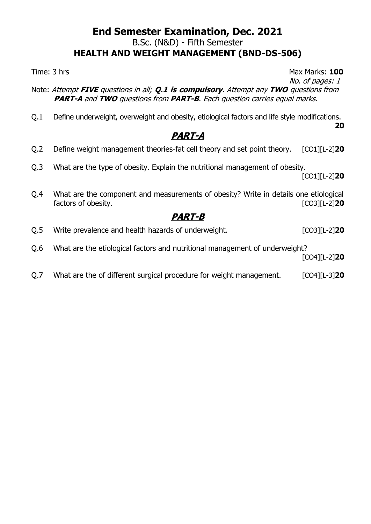#### **End Semester Examination, Dec. 2021** B.Sc. (N&D) - Fifth Semester **HEALTH AND WEIGHT MANAGEMENT (BND-DS-506)**

Time: 3 hrs Max Marks: 100

- No. of pages: 1 Note: Attempt **FIVE** questions in all; **Q.1 is compulsory**. Attempt any **TWO** questions from **PART-A** and **TWO** questions from **PART-B**. Each question carries equal marks.
- Q.1 Define underweight, overweight and obesity, etiological factors and life style modifications. **20**

# **PART-A**

- Q.2 Define weight management theories-fat cell theory and set point theory. [CO1][L-2]**20**
- Q.3 What are the type of obesity. Explain the nutritional management of obesity.

[CO1][L-2]**20**

Q.4 What are the component and measurements of obesity? Write in details one etiological factors of obesity. [CO3][L-2]**20**

#### **PART-B**

- Q.5 Write prevalence and health hazards of underweight. [CO3][L-2]<sup>20</sup>
- Q.6 What are the etiological factors and nutritional management of underweight?

[CO4][L-2]**20**

Q.7 What are the of different surgical procedure for weight management. [CO4][L-3]20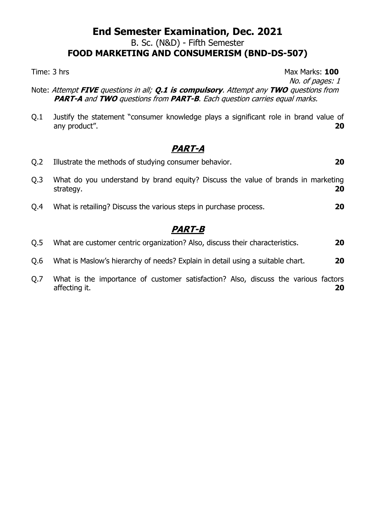#### **End Semester Examination, Dec. 2021** B. Sc. (N&D) - Fifth Semester **FOOD MARKETING AND CONSUMERISM (BND-DS-507)**

Time: 3 hrs Max Marks: 100

No. of pages: 1

- Note: Attempt **FIVE** questions in all; **Q.1 is compulsory**. Attempt any **TWO** questions from **PART-A** and **TWO** questions from **PART-B**. Each question carries equal marks.
- Q.1 Justify the statement "consumer knowledge plays a significant role in brand value of any product". **20**

### **PART-A**

| 20 | Illustrate the methods of studying consumer behavior.                                         | O.2              |
|----|-----------------------------------------------------------------------------------------------|------------------|
| 20 | What do you understand by brand equity? Discuss the value of brands in marketing<br>strategy. | Q <sub>0</sub> 3 |
| 20 | What is retailing? Discuss the various steps in purchase process.                             | Q.4              |
|    | <b>PART-B</b>                                                                                 |                  |
| 20 | What are customer centric organization? Also, discuss their characteristics.                  | Q.5              |
| 20 | What is Maslow's hierarchy of needs? Explain in detail using a suitable chart.                | Q.6              |

Q.7 What is the importance of customer satisfaction? Also, discuss the various factors affecting it. **20**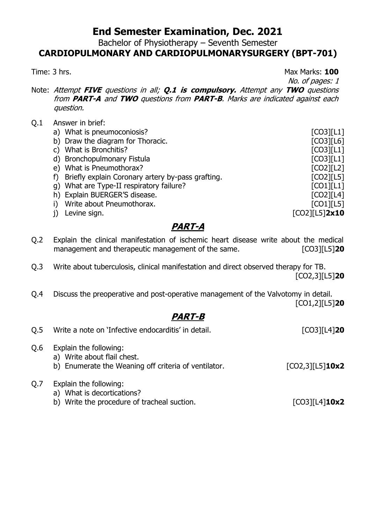Bachelor of Physiotherapy – Seventh Semester

#### **CARDIOPULMONARY AND CARDIOPULMONARYSURGERY (BPT-701)**

Time: 3 hrs. **100** 

No. of pages: 1

- Note: Attempt **FIVE** questions in all; **Q.1 is compulsory.** Attempt any **TWO** questions from **PART-A** and **TWO** questions from **PART-B**. Marks are indicated against each question.
- Q.1 Answer in brief:

| a) What is pneumoconiosis?                        | [CO3][L1]        |
|---------------------------------------------------|------------------|
| b) Draw the diagram for Thoracic.                 | [CO3][L6]        |
| What is Bronchitis?                               | [CO3][L1]        |
| d) Bronchopulmonary Fistula                       | [CO3][L1]        |
| e) What is Pneumothorax?                          | [CO2][L2]        |
| Briefly explain Coronary artery by-pass grafting. | [CO2][L5]        |
| g) What are Type-II respiratory failure?          | [CO1][L1]        |
| h) Explain BUERGER'S disease.                     | [CO2][L4]        |
| Write about Pneumothorax.                         | $[CO1]$ [L5]     |
| Levine sign.                                      | $[CO2][L5]$ 2x10 |

#### **PART-A**

- Q.2 Explain the clinical manifestation of ischemic heart disease write about the medical management and therapeutic management of the same. [CO3][L5]**20**
- Q.3 Write about tuberculosis, clinical manifestation and direct observed therapy for TB. [CO2,3][L5]**20**
- Q.4 Discuss the preoperative and post-operative management of the Valvotomy in detail. [CO1,2][L5]**20**

| O.5 | Write a note on 'Infective endocarditis' in detail.                                                           | $[CO3][L4]$ <b>20</b>     |
|-----|---------------------------------------------------------------------------------------------------------------|---------------------------|
| Q.6 | Explain the following:<br>a) Write about flail chest.<br>b) Enumerate the Weaning off criteria of ventilator. | $[CO2,3][L5]$ <b>10x2</b> |
| Q.7 | Explain the following:<br>a) What is decortications?<br>b) Write the procedure of tracheal suction.           | $[CO3][L4]$ <b>10x2</b>   |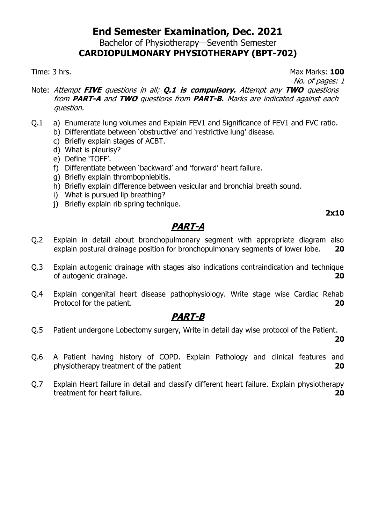Bachelor of Physiotherapy—Seventh Semester

## **CARDIOPULMONARY PHYSIOTHERAPY (BPT-702)**

Time: 3 hrs. **100** 

No. of pages: 1

- Note: Attempt **FIVE** questions in all; **Q.1 is compulsory.** Attempt any **TWO** questions from **PART-A** and **TWO** questions from **PART-B.** Marks are indicated against each question.
- Q.1 a) Enumerate lung volumes and Explain FEV1 and Significance of FEV1 and FVC ratio.
	- b) Differentiate between 'obstructive' and 'restrictive lung' disease.
	- c) Briefly explain stages of ACBT.
	- d) What is pleurisy?
	- e) Define 'TOFF'.
	- f) Differentiate between 'backward' and 'forward' heart failure.
	- g) Briefly explain thrombophlebitis.
	- h) Briefly explain difference between vesicular and bronchial breath sound.
	- i) What is pursued lip breathing?
	- j) Briefly explain rib spring technique.

# **2x10**

### **PART-A**

- Q.2 Explain in detail about bronchopulmonary segment with appropriate diagram also explain postural drainage position for bronchopulmonary segments of lower lobe. **20**
- Q.3 Explain autogenic drainage with stages also indications contraindication and technique of autogenic drainage. **20**
- Q.4 Explain congenital heart disease pathophysiology. Write stage wise Cardiac Rehab Protocol for the patient. **20**

#### **PART-B**

Q.5 Patient undergone Lobectomy surgery, Write in detail day wise protocol of the Patient.

**20**

- Q.6 A Patient having history of COPD. Explain Pathology and clinical features and physiotherapy treatment of the patient **20**
- Q.7 Explain Heart failure in detail and classify different heart failure. Explain physiotherapy treatment for heart failure. **20**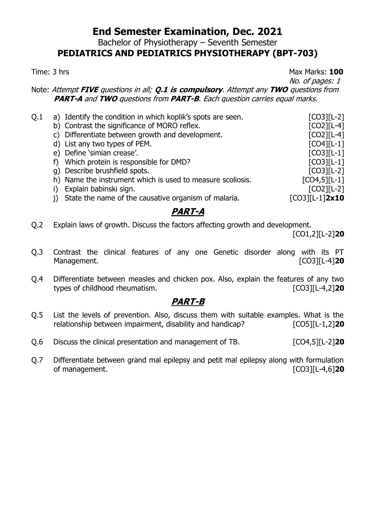Bachelor of Physiotherapy – Seventh Semester

### **PEDIATRICS AND PEDIATRICS PHYSIOTHERAPY (BPT-703)**

Time: 3 hrs Max Marks: 100

No. of pages: 1

Note: Attempt **FIVE** questions in all; **Q.1 is compulsory**. Attempt any **TWO** questions from **PART-A** and **TWO** questions from **PART-B**. Each question carries equal marks.

| Q.1 | a) Identify the condition in which koplik's spots are seen. | $[CO3][L-2]$      |
|-----|-------------------------------------------------------------|-------------------|
|     | b) Contrast the significance of MORO reflex.                | $[CO2][L-4]$      |
|     | c) Differentiate between growth and development.            | $[CO2][L-4]$      |
|     | d) List any two types of PEM.                               | $[CO4][L-1]$      |
|     | e) Define 'simian crease'.                                  | $[CO3][L-1]$      |
|     | f) Which protein is responsible for DMD?                    | $[CO3][L-1]$      |
|     | g) Describe brushfield spots.                               | $[CO3][L-2]$      |
|     | h) Name the instrument which is used to measure scoliosis.  | $[CO4,5][L-1]$    |
|     | Explain babinski sign.                                      | $[CO2][L-2]$      |
|     | State the name of the causative organism of malaria.        | $[CO3][L-1]$ 2x10 |
|     |                                                             |                   |

# **PART-A**

Q.2 Explain laws of growth. Discuss the factors affecting growth and development.

[CO1,2][L-2]**20**

- Q.3 Contrast the clinical features of any one Genetic disorder along with its PT Management. **Management Management Management Management Management Management Management**
- Q.4 Differentiate between measles and chicken pox. Also, explain the features of any two types of childhood rheumatism. [CO3][L-4,2]**20**

- Q.5 List the levels of prevention. Also, discuss them with suitable examples. What is the relationship between impairment, disability and handicap? [CO5][L-1,2]**20**
- Q.6 Discuss the clinical presentation and management of TB. [CO4,5][L-2]**20**
- Q.7 Differentiate between grand mal epilepsy and petit mal epilepsy along with formulation of management. [CO3][L-4,6]**20**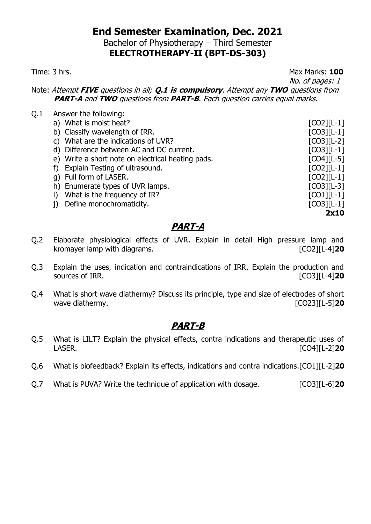Bachelor of Physiotherapy – Third Semester **ELECTROTHERAPY-II (BPT-DS-303)**

Time: 3 hrs. Max Marks: **100**

No. of pages: 1

Note: Attempt **FIVE** questions in all; **Q.1 is compulsory**. Attempt any **TWO** questions from **PART-A** and **TWO** questions from **PART-B**. Each question carries equal marks.

| Q.1 | Answer the following:                             |              |
|-----|---------------------------------------------------|--------------|
|     | a) What is moist heat?                            | $[CO2][L-1]$ |
|     | b) Classify wavelength of IRR.                    | $[CO3][L-1]$ |
|     | c) What are the indications of UVR?               | $[CO3][L-2]$ |
|     | d) Difference between AC and DC current.          | $[CO3][L-1]$ |
|     | e) Write a short note on electrical heating pads. | $[CO4][L-5]$ |
|     | f) Explain Testing of ultrasound.                 | $[CO2][L-1]$ |
|     | g) Full form of LASER.                            | $[CO2][L-1]$ |
|     | h) Enumerate types of UVR lamps.                  | $[CO3][L-3]$ |
|     | What is the frequency of IR?                      | $[CO1][L-1]$ |
|     | Define monochromaticity.                          | $[CO3][L-1]$ |
|     |                                                   | 2x10         |
|     |                                                   |              |

### **PART-A**

- Q.2 Elaborate physiological effects of UVR. Explain in detail High pressure lamp and kromayer lamp with diagrams. [CO2][L-4]**20**
- Q.3 Explain the uses, indication and contraindications of IRR. Explain the production and sources of IRR. *CO3* **IRR.** *CO3* **ICO3 ICO3 ICO3 ICO3 ICO3 ICO3 ICO3 ICO3 ICO3 ICO3 ICO3 ICO3 ICO3 ICO3 ICO3 ICO3 ICO3 ICO3 ICO3 ICO3 ICO3 ICO3 ICO3 ICO3 ICO3 ICO3**
- Q.4 What is short wave diathermy? Discuss its principle, type and size of electrodes of short wave diathermy.

- Q.5 What is LILT? Explain the physical effects, contra indications and therapeutic uses of LASER. [CO4][L-2]**20**
- Q.6 What is biofeedback? Explain its effects, indications and contra indications.[CO1][L-2]**20**
- Q.7 What is PUVA? Write the technique of application with dosage. [CO3][L-6]20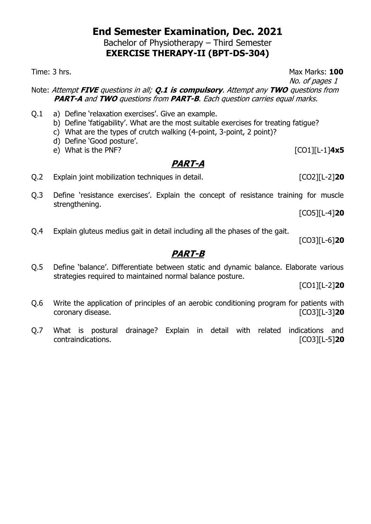Bachelor of Physiotherapy – Third Semester **EXERCISE THERAPY-II (BPT-DS-304)**

Note: Attempt **FIVE** questions in all; **Q.1 is compulsory**. Attempt any **TWO** questions from **PART-A** and **TWO** questions from **PART-B**. Each question carries equal marks.

- Q.1 a) Define 'relaxation exercises'. Give an example.
	- b) Define 'fatigability'. What are the most suitable exercises for treating fatigue?
	- c) What are the types of crutch walking (4-point, 3-point, 2 point)?
	- d) Define 'Good posture'.
	- e) What is the PNF? [CO1][L-1]**4x5**

# **PART-A**

- Q.2 Explain joint mobilization techniques in detail. [CO2][L-2]**20**
- Q.3 Define 'resistance exercises'. Explain the concept of resistance training for muscle strengthening.

[CO5][L-4]**20**

Q.4 Explain gluteus medius gait in detail including all the phases of the gait.

[CO3][L-6]**20**

### **PART-B**

Q.5 Define 'balance'. Differentiate between static and dynamic balance. Elaborate various strategies required to maintained normal balance posture.

[CO1][L-2]**20**

- Q.6 Write the application of principles of an aerobic conditioning program for patients with coronary disease. [CO3][L-3]**20**
- Q.7 What is postural drainage? Explain in detail with related indications and contraindications. [CO3][L-5]**20**

Time: 3 hrs. Max Marks: **100**

No. of pages 1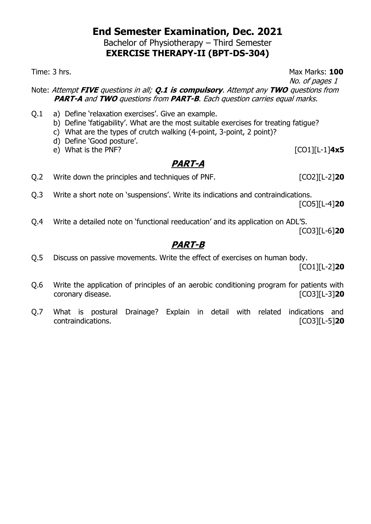Bachelor of Physiotherapy – Third Semester **EXERCISE THERAPY-II (BPT-DS-304)**

Time: 3 hrs. **100** 

No. of pages 1

Note: Attempt **FIVE** questions in all; **Q.1 is compulsory**. Attempt any **TWO** questions from **PART-A** and **TWO** questions from **PART-B**. Each question carries equal marks.

- Q.1 a) Define 'relaxation exercises'. Give an example.
	- b) Define 'fatigability'. What are the most suitable exercises for treating fatigue?
	- c) What are the types of crutch walking (4-point, 3-point, 2 point)?
	- d) Define 'Good posture'.
	- e) What is the PNF? [CO1][L-1]**4x5**

# **PART-A**

- Q.2 Write down the principles and techniques of PNF. [CO2][L-2]**20**
- Q.3 Write a short note on 'suspensions'. Write its indications and contraindications. [CO5][L-4]**20**
- Q.4 Write a detailed note on 'functional reeducation' and its application on ADL'S.

[CO3][L-6]**20**

# **PART-B**

Q.5 Discuss on passive movements. Write the effect of exercises on human body.

[CO1][L-2]**20**

- Q.6 Write the application of principles of an aerobic conditioning program for patients with coronary disease. [CO3][L-3]**20**
- Q.7 What is postural Drainage? Explain in detail with related indications and contraindications. [CO3][L-5]**20**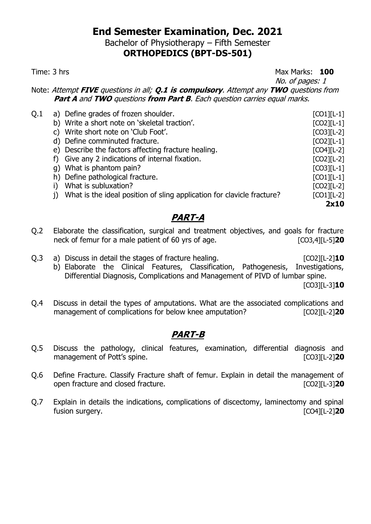Bachelor of Physiotherapy – Fifth Semester

### **ORTHOPEDICS (BPT-DS-501)**

Time: 3 hrs **100** 

No. of pages: 1

Note: Attempt **FIVE** questions in all; **Q.1 is compulsory**. Attempt any **TWO** questions from **Part A** and **TWO** questions **from Part B**. Each question carries equal marks.

|                                                                        | $[CO1][L-1]$                                                                                                                                                                                                                                                                                                                             |
|------------------------------------------------------------------------|------------------------------------------------------------------------------------------------------------------------------------------------------------------------------------------------------------------------------------------------------------------------------------------------------------------------------------------|
|                                                                        | $[CO2][L-1]$                                                                                                                                                                                                                                                                                                                             |
|                                                                        | $[CO3][L-2]$                                                                                                                                                                                                                                                                                                                             |
|                                                                        | $[CO2][L-1]$                                                                                                                                                                                                                                                                                                                             |
|                                                                        | $[CO4][L-2]$                                                                                                                                                                                                                                                                                                                             |
|                                                                        | $[CO2][L-2]$                                                                                                                                                                                                                                                                                                                             |
|                                                                        | $[CO3][L-1]$                                                                                                                                                                                                                                                                                                                             |
|                                                                        | $[CO1][L-1]$                                                                                                                                                                                                                                                                                                                             |
| What is subluxation?                                                   | $[CO2][L-2]$                                                                                                                                                                                                                                                                                                                             |
| What is the ideal position of sling application for clavicle fracture? | $[CO1][L-2]$                                                                                                                                                                                                                                                                                                                             |
|                                                                        | 2x10                                                                                                                                                                                                                                                                                                                                     |
|                                                                        | a) Define grades of frozen shoulder.<br>b) Write a short note on 'skeletal traction'.<br>c) Write short note on 'Club Foot'.<br>d) Define comminuted fracture.<br>e) Describe the factors affecting fracture healing.<br>f) Give any 2 indications of internal fixation.<br>g) What is phantom pain?<br>h) Define pathological fracture. |

#### **PART-A**

- Q.2 Elaborate the classification, surgical and treatment objectives, and goals for fracture neck of femur for a male patient of 60 yrs of age. [CO3,4][L-5]**20**
- Q.3 a) Discuss in detail the stages of fracture healing. [CO2][L-2]**10**
	- b) Elaborate the Clinical Features, Classification, Pathogenesis, Investigations, Differential Diagnosis, Complications and Management of PIVD of lumbar spine.

[CO3][L-3]**10**

Q.4 Discuss in detail the types of amputations. What are the associated complications and management of complications for below knee amputation? [CO2][L-2]<sup>20</sup>

- Q.5 Discuss the pathology, clinical features, examination, differential diagnosis and management of Pott's spine.
- Q.6 Define Fracture. Classify Fracture shaft of femur. Explain in detail the management of open fracture and closed fracture. [CO2][L-3]**20**
- Q.7 Explain in details the indications, complications of discectomy, laminectomy and spinal fusion surgery. [CO4][L-2]**20**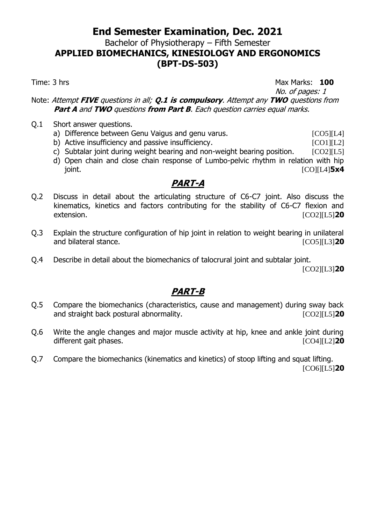Bachelor of Physiotherapy – Fifth Semester

**APPLIED BIOMECHANICS, KINESIOLOGY AND ERGONOMICS (BPT-DS-503)**

Time: 3 hrs **100** 

No. of pages: 1 Note: Attempt **FIVE** questions in all; **Q.1 is compulsory**. Attempt any **TWO** questions from **Part A** and **TWO** questions **from Part B**. Each question carries equal marks.

- Q.1 Short answer questions.
	- a) Difference between Genu Vaigus and genu varus. [CO5][L4]
	- b) Active insufficiency and passive insufficiency. [CO1][L2]
	- c) Subtalar joint during weight bearing and non-weight bearing position.  $[CO2][L5]$
	- d) Open chain and close chain response of Lumbo-pelvic rhythm in relation with hip joint. [CO][L4]**5x4**

### **PART-A**

- Q.2 Discuss in detail about the articulating structure of C6-C7 joint. Also discuss the kinematics, kinetics and factors contributing for the stability of C6-C7 flexion and extension. [CO2][L5]**20**
- Q.3 Explain the structure configuration of hip joint in relation to weight bearing in unilateral and bilateral stance. [CO5][L3]**20**
- Q.4 Describe in detail about the biomechanics of talocrural joint and subtalar joint.

[CO2][L3]**20**

- Q.5 Compare the biomechanics (characteristics, cause and management) during sway back and straight back postural abnormality. [CO2][L5]**20**
- Q.6 Write the angle changes and major muscle activity at hip, knee and ankle joint during different gait phases. **Example 20 CO4**[L2] **20**
- Q.7 Compare the biomechanics (kinematics and kinetics) of stoop lifting and squat lifting. [CO6][L5]**20**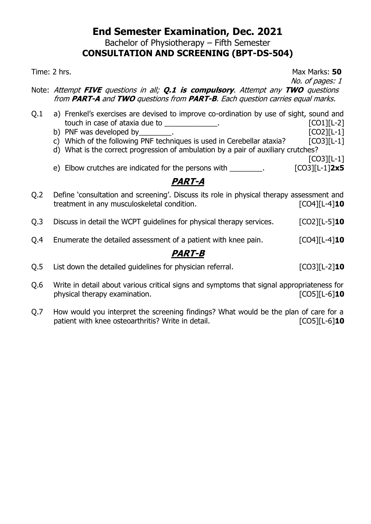Bachelor of Physiotherapy – Fifth Semester

### **CONSULTATION AND SCREENING (BPT-DS-504)**

Time: 2 hrs. Max Marks: **50** 

No. of pages: 1

Note: Attempt **FIVE** questions in all; **Q.1 is compulsory**. Attempt any **TWO** questions from **PART-A** and **TWO** questions from **PART-B**. Each question carries equal marks.

- Q.1 a) Frenkel's exercises are devised to improve co-ordination by use of sight, sound and touch in case of ataxia due to example and the set of  $[CO1][L-2]$ 
	- b) PNF was developed by \_\_\_\_\_\_\_\_.
	- c) Which of the following PNF techniques is used in Cerebellar ataxia?  $[CO3][L-1]$
	- d) What is the correct progression of ambulation by a pair of auxiliary crutches? [CO3][L-1]
	- e) Elbow crutches are indicated for the persons with \_\_\_\_\_\_\_\_. [CO3][L-1]**2x5**

### **PART-A**

- Q.2 Define 'consultation and screening'. Discuss its role in physical therapy assessment and treatment in any musculoskeletal condition. [CO4][L-4]**10**
- Q.3 Discuss in detail the WCPT guidelines for physical therapy services. [CO2][L-5]**10**
- Q.4 Enumerate the detailed assessment of a patient with knee pain. [CO4][L-4]**10**

- Q.5 List down the detailed guidelines for physician referral. [CO3][L-2]**10**
- Q.6 Write in detail about various critical signs and symptoms that signal appropriateness for physical therapy examination. **Example 20** and the set of  $[CO5][L-6]$ **10**
- Q.7 How would you interpret the screening findings? What would be the plan of care for a patient with knee osteoarthritis? Write in detail. **[CO5]**[L-6]<sup>10</sup>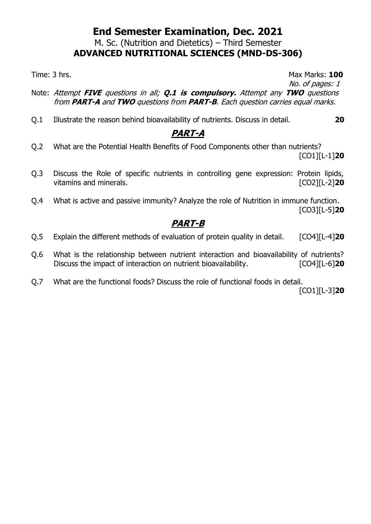#### M. Sc. (Nutrition and Dietetics) – Third Semester **ADVANCED NUTRITIONAL SCIENCES (MND-DS-306)**

Time: 3 hrs. Max Marks: **100** No. of pages: 1

- Note: Attempt **FIVE** questions in all; **Q.1 is compulsory.** Attempt any **TWO** questions from **PART-A** and **TWO** questions from **PART-B**. Each question carries equal marks.
- Q.1 Illustrate the reason behind bioavailability of nutrients. Discuss in detail. **20**

### **PART-A**

- Q.2 What are the Potential Health Benefits of Food Components other than nutrients? [CO1][L-1]**20**
- Q.3 Discuss the Role of specific nutrients in controlling gene expression: Protein lipids, vitamins and minerals. **Example 20** and minerals.
- Q.4 What is active and passive immunity? Analyze the role of Nutrition in immune function. [CO3][L-5]**20**

### **PART-B**

- Q.5 Explain the different methods of evaluation of protein quality in detail. [CO4][L-4]**20**
- Q.6 What is the relationship between nutrient interaction and bioavailability of nutrients? Discuss the impact of interaction on nutrient bioavailability. [CO4][L-6]**20**
- Q.7 What are the functional foods? Discuss the role of functional foods in detail.

[CO1][L-3]**20**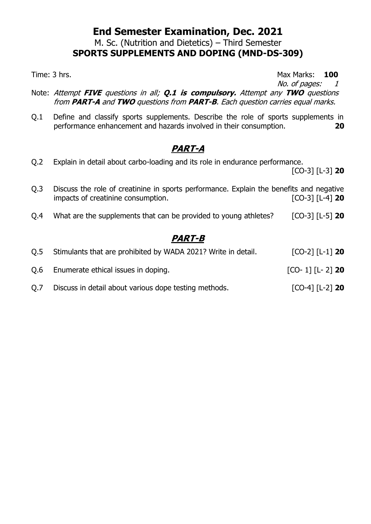M. Sc. (Nutrition and Dietetics) – Third Semester

# **SPORTS SUPPLEMENTS AND DOPING (MND-DS-309)**

Time: 3 hrs. **100** 

No. of pages: 1

- Note: Attempt **FIVE** questions in all; **Q.1 is compulsory.** Attempt any **TWO** questions from **PART-A** and **TWO** questions from **PART-B**. Each question carries equal marks.
- Q.1 Define and classify sports supplements. Describe the role of sports supplements in performance enhancement and hazards involved in their consumption. **20**

### **PART-A**

- Q.2 Explain in detail about carbo-loading and its role in endurance performance. [CO-3] [L-3] **20**
- Q.3 Discuss the role of creatinine in sports performance. Explain the benefits and negative impacts of creatinine consumption. [CO-3] [L-4] **20**
- Q.4 What are the supplements that can be provided to young athletes? [CO-3] [L-5] **20**

| O.5 | Stimulants that are prohibited by WADA 2021? Write in detail. | $[CO-2]$ $[L-1]$ 20 |
|-----|---------------------------------------------------------------|---------------------|
| O.6 | Enumerate ethical issues in doping.                           | $[CO-1]$ $[L-2]$ 20 |
| Q.7 | Discuss in detail about various dope testing methods.         | $[CO-4]$ $[L-2]$ 20 |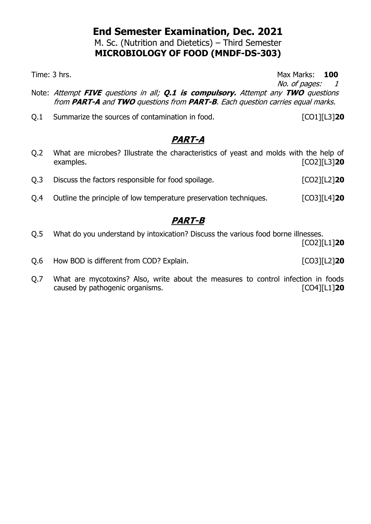M. Sc. (Nutrition and Dietetics) – Third Semester **MICROBIOLOGY OF FOOD (MNDF-DS-303)**

Time: 3 hrs. **100** No. of pages: 1

- Note: Attempt **FIVE** questions in all; **Q.1 is compulsory.** Attempt any **TWO** questions from **PART-A** and **TWO** questions from **PART-B**. Each question carries equal marks.
- Q.1 Summarize the sources of contamination in food. [CO1][L3]**20**

### **PART-A**

- Q.2 What are microbes? Illustrate the characteristics of yeast and molds with the help of examples. [CO2][L3]**20** Q.3 Discuss the factors responsible for food spoilage. [CO2][L2]**20**
- Q.4 Outline the principle of low temperature preservation techniques. [CO3][L4]**20**

# **PART-B**

Q.5 What do you understand by intoxication? Discuss the various food borne illnesses.

[CO2][L1]**20**

- Q.6 How BOD is different from COD? Explain.  $[CO3][L2]$ **20**
- Q.7 What are mycotoxins? Also, write about the measures to control infection in foods caused by pathogenic organisms. [CO4][L1]**20**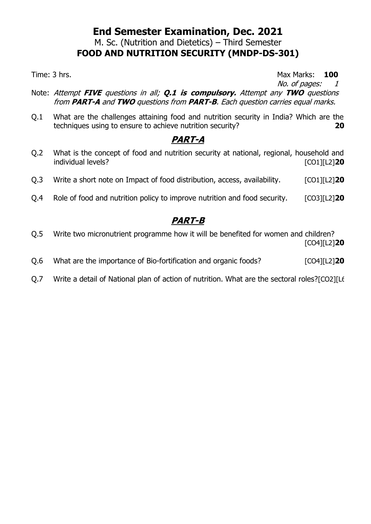#### **End Semester Examination, Dec. 2021** M. Sc. (Nutrition and Dietetics) – Third Semester **FOOD AND NUTRITION SECURITY (MNDP-DS-301)**

Time: 3 hrs. **100** 

No. of pages: 1

- Note: Attempt **FIVE** questions in all; **Q.1 is compulsory.** Attempt any **TWO** questions from **PART-A** and **TWO** questions from **PART-B**. Each question carries equal marks.
- Q.1 What are the challenges attaining food and nutrition security in India? Which are the techniques using to ensure to achieve nutrition security? **20**

#### **PART-A**

- Q.2 What is the concept of food and nutrition security at national, regional, household and individual levels? [CO1][L2]**20**
- Q.3 Write a short note on Impact of food distribution, access, availability. [CO1][L2]**20**
- Q.4 Role of food and nutrition policy to improve nutrition and food security. [CO3][L2]**20**

- Q.5 Write two micronutrient programme how it will be benefited for women and children? [CO4][L2]**20**
- Q.6 What are the importance of Bio-fortification and organic foods? [CO4][L2]**20**
- Q.7 Write a detail of National plan of action of nutrition. What are the sectoral roles?[CO2][L6]**20**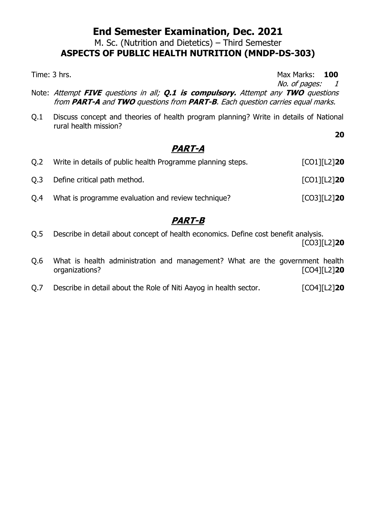M. Sc. (Nutrition and Dietetics) – Third Semester

### **ASPECTS OF PUBLIC HEALTH NUTRITION (MNDP-DS-303)**

Time: 3 hrs. **100** 

**20**

No. of pages: 1

- Note: Attempt **FIVE** questions in all; **Q.1 is compulsory.** Attempt any **TWO** questions from **PART-A** and **TWO** questions from **PART-B**. Each question carries equal marks.
- Q.1 Discuss concept and theories of health program planning? Write in details of National rural health mission?

### **PART-A**

| O.2 | Write in details of public health Programme planning steps. | $[CO1][L2]$ 20        |
|-----|-------------------------------------------------------------|-----------------------|
| O.3 | Define critical path method.                                | $[CO1][L2]$ 20        |
| 0.4 | What is programme evaluation and review technique?          | $[CO3][L2]$ <b>20</b> |

- Q.5 Describe in detail about concept of health economics. Define cost benefit analysis. [CO3][L2]**20**
- Q.6 What is health administration and management? What are the government health organizations? [CO4][L2]**20**
- Q.7 Describe in detail about the Role of Niti Aayog in health sector. [CO4][L2]**20**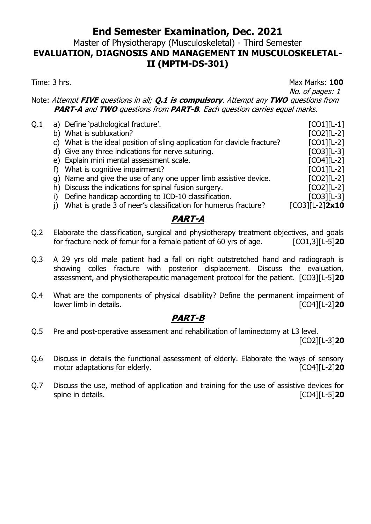#### Master of Physiotherapy (Musculoskeletal) - Third Semester **EVALUATION, DIAGNOSIS AND MANAGEMENT IN MUSCULOSKELETAL-II (MPTM-DS-301)**

Time: 3 hrs. **100** 

#### No. of pages: 1 Note: Attempt **FIVE** questions in all; **Q.1 is compulsory**. Attempt any **TWO** questions from **PART-A** and **TWO** questions from **PART-B**. Each question carries equal marks. Q.1 a) Define 'pathological fracture'. [CO1][L-1] b) What is subluxation? [CO2][L-2] c) What is the ideal position of sling application for clavicle fracture?  $[CO1][L-2]$ d) Give any three indications for nerve suturing. [CO3][L-3] e) Explain mini mental assessment scale. [CO4][L-2] f) What is cognitive impairment? [CO1][L-2] g) Name and give the use of any one upper limb assistive device. [CO2][L-2] h) Discuss the indications for spinal fusion surgery. [CO2][L-2] i) Define handicap according to ICD-10 classification. [CO3][L-3] j) What is grade 3 of neer's classification for humerus fracture? [CO3][L-2]**2x10**

#### **PART-A**

- Q.2 Elaborate the classification, surgical and physiotherapy treatment objectives, and goals for fracture neck of femur for a female patient of 60 yrs of age. [CO1,3][L-5]**20**
- Q.3 A 29 yrs old male patient had a fall on right outstretched hand and radiograph is showing colles fracture with posterior displacement. Discuss the evaluation, assessment, and physiotherapeutic management protocol for the patient. [CO3][L-5]**20**
- Q.4 What are the components of physical disability? Define the permanent impairment of lower limb in details. [CO4][L-2]**20**

#### **PART-B**

Q.5 Pre and post-operative assessment and rehabilitation of laminectomy at L3 level.

[CO2][L-3]**20**

- Q.6 Discuss in details the functional assessment of elderly. Elaborate the ways of sensory motor adaptations for elderly. **Example 20 CO4**][L-2] **20**
- Q.7 Discuss the use, method of application and training for the use of assistive devices for spine in details. [CO4][L-5]**20**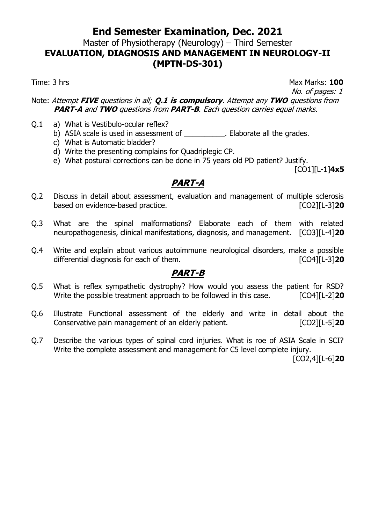#### Master of Physiotherapy (Neurology) – Third Semester **EVALUATION, DIAGNOSIS AND MANAGEMENT IN NEUROLOGY-II (MPTN-DS-301)**

Time: 3 hrs Max Marks: 100

No. of pages: 1

Note: Attempt **FIVE** questions in all; **Q.1 is compulsory**. Attempt any **TWO** questions from **PART-A** and **TWO** questions from **PART-B**. Each question carries equal marks.

- Q.1 a) What is Vestibulo-ocular reflex?
	- b) ASIA scale is used in assessment of Flaborate all the grades.
	- c) What is Automatic bladder?
	- d) Write the presenting complains for Quadriplegic CP.
	- e) What postural corrections can be done in 75 years old PD patient? Justify.

[CO1][L-1]**4x5**

### **PART-A**

- Q.2 Discuss in detail about assessment, evaluation and management of multiple sclerosis based on evidence-based practice. [CO2][L-3]**20**
- Q.3 What are the spinal malformations? Elaborate each of them with related neuropathogenesis, clinical manifestations, diagnosis, and management. [CO3][L-4]**20**
- Q.4 Write and explain about various autoimmune neurological disorders, make a possible differential diagnosis for each of them. [CO4][L-3]**20**

#### **PART-B**

- Q.5 What is reflex sympathetic dystrophy? How would you assess the patient for RSD? Write the possible treatment approach to be followed in this case. [CO4][L-2]**20**
- Q.6 Illustrate Functional assessment of the elderly and write in detail about the Conservative pain management of an elderly patient. [CO2][L-5]**20**
- Q.7 Describe the various types of spinal cord injuries. What is roe of ASIA Scale in SCI? Write the complete assessment and management for C5 level complete injury.

[CO2,4][L-6]**20**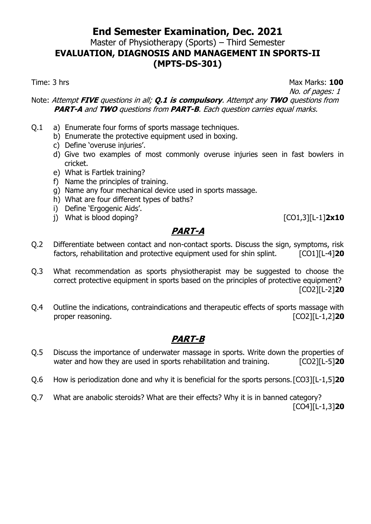#### Master of Physiotherapy (Sports) – Third Semester **EVALUATION, DIAGNOSIS AND MANAGEMENT IN SPORTS-II (MPTS-DS-301)**

Time: 3 hrs Max Marks: 100

No. of pages: 1

Note: Attempt **FIVE** questions in all; **Q.1 is compulsory**. Attempt any **TWO** questions from **PART-A** and **TWO** questions from **PART-B**. Each question carries equal marks.

- Q.1 a) Enumerate four forms of sports massage techniques.
	- b) Enumerate the protective equipment used in boxing.
	- c) Define 'overuse injuries'.
	- d) Give two examples of most commonly overuse injuries seen in fast bowlers in cricket.
	- e) What is Fartlek training?
	- f) Name the principles of training.
	- g) Name any four mechanical device used in sports massage.
	- h) What are four different types of baths?
	- i) Define 'Ergogenic Aids'.
	- j) What is blood doping? [CO1,3][L-1]**2x10**

### **PART-A**

- Q.2 Differentiate between contact and non-contact sports. Discuss the sign, symptoms, risk factors, rehabilitation and protective equipment used for shin splint. [CO1][L-4]**20**
- Q.3 What recommendation as sports physiotherapist may be suggested to choose the correct protective equipment in sports based on the principles of protective equipment? [CO2][L-2]**20**
- Q.4 Outline the indications, contraindications and therapeutic effects of sports massage with proper reasoning. The set of the set of the set of the set of the set of the set of the set of the set of the set of the set of the set of the set of the set of the set of the set of the set of the set of the set of the se

- Q.5 Discuss the importance of underwater massage in sports. Write down the properties of water and how they are used in sports rehabilitation and training. [CO2][L-5]20
- Q.6 How is periodization done and why it is beneficial for the sports persons.[CO3][L-1,5]**20**
- Q.7 What are anabolic steroids? What are their effects? Why it is in banned category? [CO4][L-1,3]**20**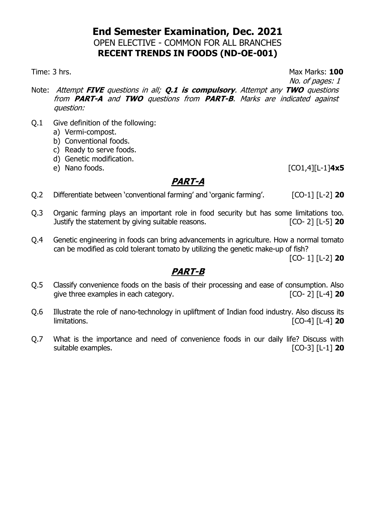#### **End Semester Examination, Dec. 2021** OPEN ELECTIVE - COMMON FOR ALL BRANCHES **RECENT TRENDS IN FOODS (ND-OE-001)**

#### Time: 3 hrs. Max Marks: **100**

No. of pages: 1

- Note: Attempt **FIVE** questions in all; **Q.1 is compulsory**. Attempt any **TWO** questions from **PART-A** and **TWO** questions from **PART-B**. Marks are indicated against question:
- Q.1 Give definition of the following:
	- a) Vermi-compost.
	- b) Conventional foods.
	- c) Ready to serve foods.
	- d) Genetic modification.
	- e) Nano foods. [CO1,4][L-1]**4x5**

### **PART-A**

- Q.2 Differentiate between 'conventional farming' and 'organic farming'. [CO-1] [L-2] **20**
- Q.3 Organic farming plays an important role in food security but has some limitations too. Justify the statement by giving suitable reasons. [CO- 2] [L-5] **20**
- Q.4 Genetic engineering in foods can bring advancements in agriculture. How a normal tomato can be modified as cold tolerant tomato by utilizing the genetic make-up of fish?

[CO- 1] [L-2] **20**

- Q.5 Classify convenience foods on the basis of their processing and ease of consumption. Also give three examples in each category. [CO- 2] [L-4] **20**
- Q.6 Illustrate the role of nano-technology in upliftment of Indian food industry. Also discuss its limitations. [CO-4] [L-4] **20**
- Q.7 What is the importance and need of convenience foods in our daily life? Discuss with suitable examples. [CO-3] [L-1] **20**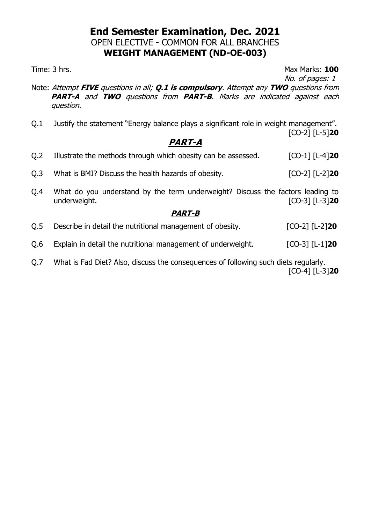#### **End Semester Examination, Dec. 2021** OPEN ELECTIVE - COMMON FOR ALL BRANCHES **WEIGHT MANAGEMENT (ND-OE-003)**

Time: 3 hrs. **100** 

No. of pages: 1

- Note: Attempt **FIVE** questions in all; **Q.1 is compulsory**. Attempt any **TWO** questions from **PART-A** and **TWO** questions from **PART-B**. Marks are indicated against each question.
- Q.1 Justify the statement "Energy balance plays a significant role in weight management". [CO-2] [L-5]**20**

### **PART-A**

| <i><b>PART-B</b></i> |                                                                                                |                            |  |  |
|----------------------|------------------------------------------------------------------------------------------------|----------------------------|--|--|
| O.4                  | What do you understand by the term underweight? Discuss the factors leading to<br>underweight. | $[CO-3]$ $[L-3]$ <b>20</b> |  |  |
| O.3                  | What is BMI? Discuss the health hazards of obesity.                                            | $[CO-2]$ $[L-2]$ 20        |  |  |
| O.2                  | Illustrate the methods through which obesity can be assessed.                                  | $[CO-1]$ $[L-4]$ 20        |  |  |

- Q.5 Describe in detail the nutritional management of obesity. [CO-2] [L-2]**20**
- Q.6 Explain in detail the nutritional management of underweight. [CO-3] [L-1]**20**
- Q.7 What is Fad Diet? Also, discuss the consequences of following such diets regularly. [CO-4] [L-3]**20**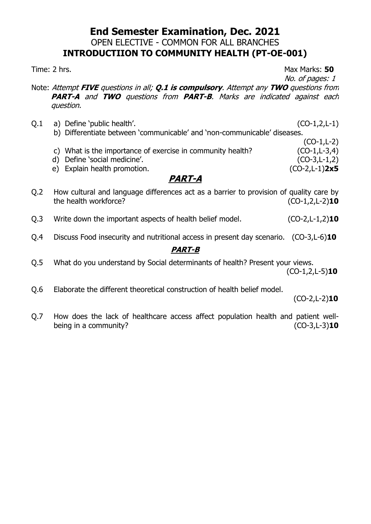### **End Semester Examination, Dec. 2021** OPEN ELECTIVE - COMMON FOR ALL BRANCHES **INTRODUCTIION TO COMMUNITY HEALTH (PT-OE-001)**

Time: 2 hrs. Max Marks: **50**

No. of pages: 1

(CO-1,L-2)

- Note: Attempt **FIVE** questions in all; **Q.1 is compulsory**. Attempt any **TWO** questions from **PART-A** and **TWO** questions from **PART-B**. Marks are indicated against each question.
- Q.1 a) Define 'public health'. (CO-1,2,L-1) b) Differentiate between 'communicable' and 'non-communicable' diseases.
	- c) What is the importance of exercise in community health?  $(CO-1,L-3,4)$
	- d) Define 'social medicine'. (CO-3,L-1,2)
	- e) Explain health promotion. (CO-2,L-1)**2x5**

### **PART-A**

- Q.2 How cultural and language differences act as a barrier to provision of quality care by<br>the health workforce? (CO-1,2,L-2)10 the health workforce?
- Q.3 Write down the important aspects of health belief model. (CO-2,L-1,2)**10**
- Q.4 Discuss Food insecurity and nutritional access in present day scenario. (CO-3,L-6)**10**

#### **PART-B**

- Q.5 What do you understand by Social determinants of health? Present your views. (CO-1,2,L-5)**10**
- Q.6 Elaborate the different theoretical construction of health belief model.

(CO-2,L-2)**10**

Q.7 How does the lack of healthcare access affect population health and patient wellbeing in a community? (CO-3,L-3)**10**